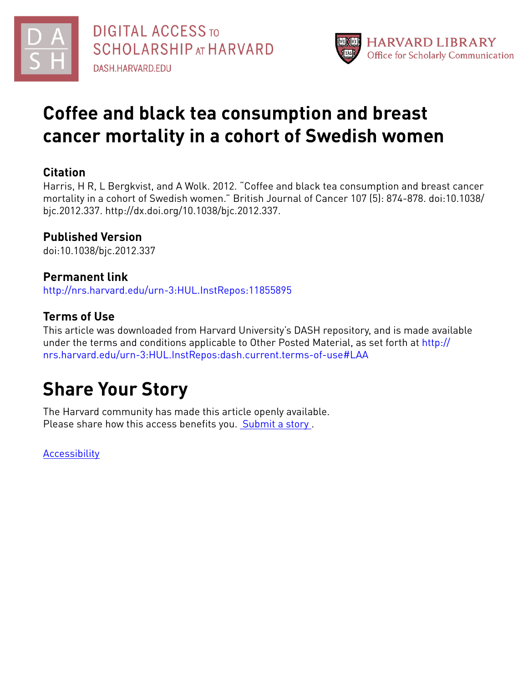



## **Coffee and black tea consumption and breast cancer mortality in a cohort of Swedish women**

### **Citation**

Harris, H R, L Bergkvist, and A Wolk. 2012. "Coffee and black tea consumption and breast cancer mortality in a cohort of Swedish women." British Journal of Cancer 107 (5): 874-878. doi:10.1038/ bjc.2012.337. http://dx.doi.org/10.1038/bjc.2012.337.

## **Published Version**

doi:10.1038/bjc.2012.337

## **Permanent link**

<http://nrs.harvard.edu/urn-3:HUL.InstRepos:11855895>

## **Terms of Use**

This article was downloaded from Harvard University's DASH repository, and is made available under the terms and conditions applicable to Other Posted Material, as set forth at [http://](http://nrs.harvard.edu/urn-3:HUL.InstRepos:dash.current.terms-of-use#LAA) [nrs.harvard.edu/urn-3:HUL.InstRepos:dash.current.terms-of-use#LAA](http://nrs.harvard.edu/urn-3:HUL.InstRepos:dash.current.terms-of-use#LAA)

# **Share Your Story**

The Harvard community has made this article openly available. Please share how this access benefits you. [Submit](http://osc.hul.harvard.edu/dash/open-access-feedback?handle=&title=Coffee%20and%20black%20tea%20consumption%20and%20breast%20cancer%20mortality%20in%20a%20cohort%20of%20Swedish%20women&community=1/4454685&collection=1/4454686&owningCollection1/4454686&harvardAuthors=&department) a story .

**[Accessibility](https://dash.harvard.edu/pages/accessibility)**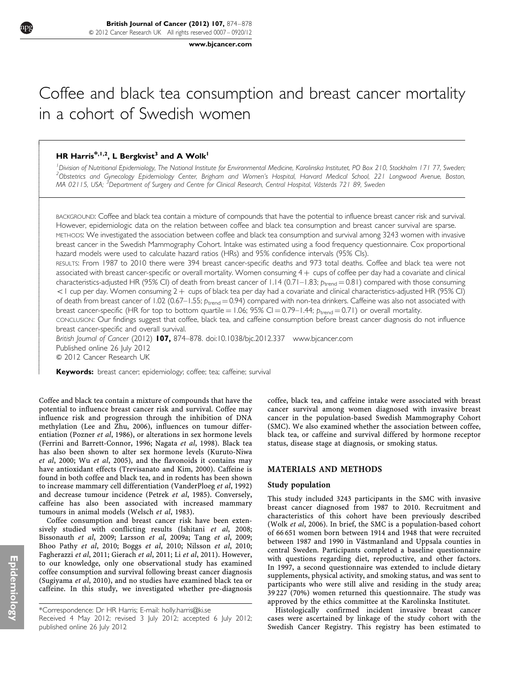[www.bjcancer.com](http://www.bjcancer.com)

## Coffee and black tea consumption and breast cancer mortality in a cohort of Swedish women

### HR Harris<sup>\*,1,2</sup>, L Bergkvist<sup>3</sup> and A Wolk<sup>1</sup>

- $\overline{1}$  $\overline{\phantom{a}}$  $\overline{\phantom{a}}$  $\overline{\phantom{a}}$  $\overline{\phantom{a}}$  $\overline{\phantom{a}}$  $\overline{\phantom{a}}$  $\overline{\phantom{a}}$  $\overline{\phantom{a}}$  $\overline{\phantom{a}}$  $\overline{\phantom{a}}$  $\overline{\phantom{a}}$ - $\overline{ }$  $\overline{\phantom{a}}$  $\overline{\phantom{a}}$  $\overline{\phantom{a}}$  $\overline{\phantom{a}}$  $\overline{\phantom{a}}$  $\overline{\phantom{a}}$  $\overline{\phantom{a}}$  $\overline{\phantom{a}}$  $\overline{\phantom{a}}$  $\overline{\phantom{a}}$  $\overline{\phantom{a}}$  $\overline{\phantom{a}}$  $\overline{\phantom{a}}$  $\overline{\phantom{a}}$  $\overline{\phantom{a}}$  $\overline{\phantom{a}}$  $\overline{\phantom{a}}$  $\overline{\phantom{a}}$  $\overline{\phantom{a}}$  $\overline{\phantom{a}}$  $\overline{\phantom{a}}$  $\overline{\phantom{a}}$  $\overline{\phantom{a}}$  $\overline{\phantom{a}}$  $\overline{\phantom{a}}$  $\overline{\phantom{a}}$  $\overline{\phantom{a}}$  $\overline{\phantom{a}}$  $\overline{\phantom{a}}$  $\overline{\phantom{a}}$  $\overline{\phantom{a}}$  $\overline{\phantom{a}}$  $\overline{\phantom{a}}$  $\overline{\phantom{a}}$  $\overline{\phantom{a}}$  $\overline{\phantom{a}}$  $\overline{\phantom{a}}$ 

<sup>1</sup> Division of Nutritional Epidemiology, The National Institute for Environmental Medicine, Karolinska Institutet, PO Box 210, Stockholm 171 77, Sweden;<br><sup>2</sup> Obstatrics and Gynecelogy Epidemiology Center, Brigham and Women <sup>2</sup>Obstetrics and Gynecology Epidemiology Center, Brigham and Women's Hospital, Harvard Medical School, 221 Longwood Avenue, Boston, MA 02115, USA; <sup>3</sup>Department of Surgery and Centre for Clinical Research, Central Hospital, Västerås 721 89, Sweden

BACKGROUND: Coffee and black tea contain a mixture of compounds that have the potential to influence breast cancer risk and survival. However, epidemiologic data on the relation between coffee and black tea consumption and breast cancer survival are sparse. METHODS: We investigated the association between coffee and black tea consumption and survival among 3243 women with invasive

breast cancer in the Swedish Mammography Cohort. Intake was estimated using a food frequency questionnaire. Cox proportional hazard models were used to calculate hazard ratios (HRs) and 95% confidence intervals (95% CIs).

RESULTS: From 1987 to 2010 there were 394 breast cancer-specific deaths and 973 total deaths. Coffee and black tea were not associated with breast cancer-specific or overall mortality. Women consuming  $4 + c$ ups of coffee per day had a covariate and clinical characteristics-adjusted HR (95% CI) of death from breast cancer of  $1.14$  (0.71–1.83;  $p_{\text{trend}} = 0.81$ ) compared with those consuming <1 cup per day. Women consuming 2 + cups of black tea per day had a covariate and clinical characteristics-adjusted HR (95% CI) of death from breast cancer of 1.02 (0.67–1.55;  $p_{trend} = 0.94$ ) compared with non-tea drinkers. Caffeine was also not associated with breast cancer-specific (HR for top to bottom quartile = 1.06; 95% CI = 0.79–1.44;  $p_{\text{trend}} = 0.71$ ) or overall mortality.

CONCLUSION: Our findings suggest that coffee, black tea, and caffeine consumption before breast cancer diagnosis do not influence breast cancer-specific and overall survival.

British Journal of Cancer (2012) 107, 874-878. doi:[10.1038/bjc.2012.337](http://dx.doi.org/10.1038/bjc.2012.337)<www.bjcancer.com> Published online 26 July 2012  $©$  2012 Cancer Research UK

Keywords: breast cancer; epidemiology; coffee; tea; caffeine; survival

Coffee and black tea contain a mixture of compounds that have the potential to influence breast cancer risk and survival. Coffee may influence risk and progression through the inhibition of DNA methylation ([Lee and Zhu, 2006\)](#page-5-0), influences on tumour differentiation [\(Pozner](#page-5-0) et al, 1986), or alterations in sex hormone levels ([Ferrini and Barrett-Connor, 1996](#page-5-0); [Nagata](#page-5-0) et al, 1998). Black tea has also been shown to alter sex hormone levels ([Kuruto-Niwa](#page-5-0) et al[, 2000;](#page-5-0) Wu et al[, 2005](#page-5-0)), and the flavonoids it contains may have antioxidant effects ([Trevisanato and Kim, 2000\)](#page-5-0). Caffeine is found in both coffee and black tea, and in rodents has been shown to increase mammary cell differentiation [\(VanderPloeg](#page-5-0) et al, 1992) and decrease tumour incidence ([Petrek](#page-5-0) et al, 1985). Conversely, caffeine has also been associated with increased mammary tumours in animal models ([Welsch](#page-5-0) et al, 1983).

Coffee consumption and breast cancer risk have been exten-sively studied with conflicting results [\(Ishitani](#page-5-0) et al, 2008; [Bissonauth](#page-4-0) et al, 2009; [Larsson](#page-5-0) et al, 2009a; Tang et al[, 2009](#page-5-0); [Bhoo Pathy](#page-4-0) et al, 2010; Boggs et al[, 2010;](#page-4-0) [Nilsson](#page-5-0) et al, 2010; [Fagherazzi](#page-5-0) et al, 2011; [Gierach](#page-5-0) et al, 2011; Li et al[, 2011\)](#page-5-0). However, to our knowledge, only one observational study has examined coffee consumption and survival following breast cancer diagnosis ([Sugiyama](#page-5-0) et al, 2010), and no studies have examined black tea or caffeine. In this study, we investigated whether pre-diagnosis coffee, black tea, and caffeine intake were associated with breast cancer survival among women diagnosed with invasive breast cancer in the population-based Swedish Mammography Cohort (SMC). We also examined whether the association between coffee, black tea, or caffeine and survival differed by hormone receptor status, disease stage at diagnosis, or smoking status.

#### MATERIALS AND METHODS

#### Study population

This study included 3243 participants in the SMC with invasive breast cancer diagnosed from 1987 to 2010. Recruitment and characteristics of this cohort have been previously described (Wolk et al[, 2006\)](#page-5-0). In brief, the SMC is a population-based cohort of 66 651 women born between 1914 and 1948 that were recruited between 1987 and 1990 in Västmanland and Uppsala counties in central Sweden. Participants completed a baseline questionnaire with questions regarding diet, reproductive, and other factors. In 1997, a second questionnaire was extended to include dietary supplements, physical activity, and smoking status, and was sent to participants who were still alive and residing in the study area; 39 227 (70%) women returned this questionnaire. The study was approved by the ethics committee at the Karolinska Institutet.

Histologically confirmed incident invasive breast cancer cases were ascertained by linkage of the study cohort with the Swedish Cancer Registry. This registry has been estimated to

<sup>\*</sup>Correspondence: Dr HR Harris; E-mail: [holly.harris@ki.se](mailto:holly.harris@ki.se) Received 4 May 2012; revised 3 July 2012; accepted 6 July 2012; published online 26 July 2012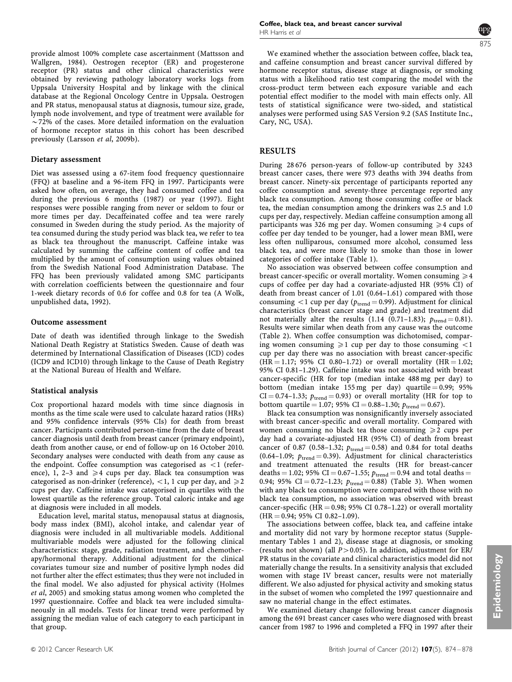provide almost 100% complete case ascertainment ([Mattsson and](#page-5-0) [Wallgren, 1984\)](#page-5-0). Oestrogen receptor (ER) and progesterone receptor (PR) status and other clinical characteristics were obtained by reviewing pathology laboratory works logs from Uppsala University Hospital and by linkage with the clinical database at the Regional Oncology Centre in Uppsala. Oestrogen and PR status, menopausal status at diagnosis, tumour size, grade, lymph node involvement, and type of treatment were available for  $\sim$ 72% of the cases. More detailed information on the evaluation of hormone receptor status in this cohort has been described previously ([Larsson](#page-5-0) et al, 2009b).

#### Dietary assessment

Diet was assessed using a 67-item food frequency questionnaire (FFQ) at baseline and a 96-item FFQ in 1997. Participants were asked how often, on average, they had consumed coffee and tea during the previous 6 months (1987) or year (1997). Eight responses were possible ranging from never or seldom to four or more times per day. Decaffeinated coffee and tea were rarely consumed in Sweden during the study period. As the majority of tea consumed during the study period was black tea, we refer to tea as black tea throughout the manuscript. Caffeine intake was calculated by summing the caffeine content of coffee and tea multiplied by the amount of consumption using values obtained from the Swedish National Food Administration Database. The FFQ has been previously validated among SMC participants with correlation coefficients between the questionnaire and four 1-week dietary records of 0.6 for coffee and 0.8 for tea (A Wolk, unpublished data, 1992).

#### Outcome assessment

Date of death was identified through linkage to the Swedish National Death Registry at Statistics Sweden. Cause of death was determined by International Classification of Diseases (ICD) codes (ICD9 and ICD10) through linkage to the Cause of Death Registry at the National Bureau of Health and Welfare.

#### Statistical analysis

Cox proportional hazard models with time since diagnosis in months as the time scale were used to calculate hazard ratios (HRs) and 95% confidence intervals (95% CIs) for death from breast cancer. Participants contributed person-time from the date of breast cancer diagnosis until death from breast cancer (primary endpoint), death from another cause, or end of follow-up on 16 October 2010. Secondary analyses were conducted with death from any cause as the endpoint. Coffee consumption was categorised as  $\langle 1 \rangle$  (reference), 1, 2–3 and  $\geq 4$  cups per day. Black tea consumption was categorised as non-drinker (reference),  $\langle 1, 1 \rangle$  cup per day, and  $\geq 2$ cups per day. Caffeine intake was categorised in quartiles with the lowest quartile as the reference group. Total caloric intake and age at diagnosis were included in all models.

Education level, marital status, menopausal status at diagnosis, body mass index (BMI), alcohol intake, and calendar year of diagnosis were included in all multivariable models. Additional multivariable models were adjusted for the following clinical characteristics: stage, grade, radiation treatment, and chemotherapy/hormonal therapy. Additional adjustment for the clinical covariates tumour size and number of positive lymph nodes did not further alter the effect estimates; thus they were not included in the final model. We also adjusted for physical activity [\(Holmes](#page-5-0) et al[, 2005](#page-5-0)) and smoking status among women who completed the 1997 questionnaire. Coffee and black tea were included simultaneously in all models. Tests for linear trend were performed by assigning the median value of each category to each participant in that group.

We examined whether the association between coffee, black tea, and caffeine consumption and breast cancer survival differed by hormone receptor status, disease stage at diagnosis, or smoking status with a likelihood ratio test comparing the model with the cross-product term between each exposure variable and each potential effect modifier to the model with main effects only. All tests of statistical significance were two-sided, and statistical analyses were performed using SAS Version 9.2 (SAS Institute Inc., Cary, NC, USA).

#### RESULTS

During 28 676 person-years of follow-up contributed by 3243 breast cancer cases, there were 973 deaths with 394 deaths from breast cancer. Ninety-six percentage of participants reported any coffee consumption and seventy-three percentage reported any black tea consumption. Among those consuming coffee or black tea, the median consumption among the drinkers was 2.5 and 1.0 cups per day, respectively. Median caffeine consumption among all participants was 326 mg per day. Women consuming  $\geq 4$  cups of coffee per day tended to be younger, had a lower mean BMI, were less often nulliparous, consumed more alcohol, consumed less black tea, and were more likely to smoke than those in lower categories of coffee intake [\(Table 1](#page-3-0)).

No association was observed between coffee consumption and breast cancer-specific or overall mortality. Women consuming  $\geq 4$ cups of coffee per day had a covariate-adjusted HR (95% CI) of death from breast cancer of 1.01 (0.64–1.61) compared with those consuming  $<$  1 cup per day ( $p_{\text{trend}}$  = 0.99). Adjustment for clinical characteristics (breast cancer stage and grade) and treatment did not materially alter the results (1.14 (0.71–1.83);  $p_{\text{trend}} = 0.81$ ). Results were similar when death from any cause was the outcome [\(Table 2](#page-4-0)). When coffee consumption was dichotomised, comparing women consuming  $\geq 1$  cup per day to those consuming  $\lt 1$ cup per day there was no association with breast cancer-specific  $(HR = 1.17; 95\% \text{ CI } 0.80 - 1.72)$  or overall mortality  $(HR = 1.02;$ 95% CI 0.81–1.29). Caffeine intake was not associated with breast cancer-specific (HR for top (median intake 488 mg per day) to bottom (median intake 155 mg per day) quartile =  $0.99$ ; 95% CI = 0.74-1.33;  $p_{\text{trend}} = 0.93$ ) or overall mortality (HR for top to bottom quartile = 1.07; 95% CI = 0.88-1.30;  $p_{\text{trend}} = 0.67$ ).

Black tea consumption was nonsignificantly inversely associated with breast cancer-specific and overall mortality. Compared with women consuming no black tea those consuming  $\geq 2$  cups per day had a covariate-adjusted HR (95% CI) of death from breast cancer of 0.87 (0.58–1.32;  $p_{\text{trend}} = 0.58$ ) and 0.84 for total deaths (0.64–1.09;  $p_{\text{trend}} = 0.39$ ). Adjustment for clinical characteristics and treatment attenuated the results (HR for breast-cancer deaths = 1.02; 95% CI = 0.67-1.55;  $p_{\text{trend}} = 0.94$  and total deaths = 0.94; 95% CI = 0.72-1.23;  $p_{\text{trend}} = 0.88$ ) [\(Table 3\)](#page-4-0). When women with any black tea consumption were compared with those with no black tea consumption, no association was observed with breast cancer-specific (HR = 0.98; 95% CI 0.78-1.22) or overall mortality  $(HR = 0.94; 95\% \text{ CI } 0.82-1.09).$ 

The associations between coffee, black tea, and caffeine intake and mortality did not vary by hormone receptor status (Supplementary Tables 1 and 2), disease stage at diagnosis, or smoking (results not shown) (all  $P > 0.05$ ). In addition, adjustment for ER/ PR status in the covariate and clinical characteristics model did not materially change the results. In a sensitivity analysis that excluded women with stage IV breast cancer, results were not materially different. We also adjusted for physical activity and smoking status in the subset of women who completed the 1997 questionnaire and saw no material change in the effect estimates.

We examined dietary change following breast cancer diagnosis among the 691 breast cancer cases who were diagnosed with breast cancer from 1987 to 1996 and completed a FFQ in 1997 after their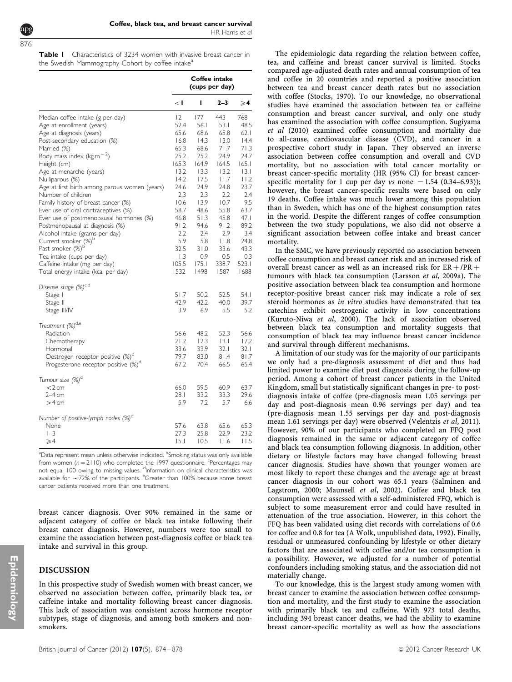HR Harris et al

<span id="page-3-0"></span>Table I Characteristics of 3234 women with invasive breast cancer in the Swedish Mammography Cohort by coffee intake<sup>a</sup>

|                                                 | Coffee intake<br>(cups per day) |       |            |               |
|-------------------------------------------------|---------------------------------|-------|------------|---------------|
|                                                 | $\lt$ l                         | ı     | $2 - 3$    | $\geqslant$ 4 |
| Median coffee intake (g per day)                | 12                              | 177   | 443        | 768           |
| Age at enrollment (years)                       | 52.4                            | 56.1  | 53.1       | 48.5          |
| Age at diagnosis (years)                        | 65.6                            | 68.6  | 65.8       | 62.1          |
| Post-secondary education (%)                    | 16.8                            | 14.3  | 13.0       | 14.4          |
| Married (%)                                     | 65.3                            | 68.6  | 71.7       | 71.3          |
| Body mass index ( $\text{kg m}^{-2}$ )          | 25.2                            | 25.2  | 24.9       | 24.7          |
| Height (cm)                                     | 165.3                           | 164.9 | 164.5      | 165.1         |
| Age at menarche (years)                         | 13.2                            | 13.3  | 13.2       | 3.1           |
| Nulliparous (%)                                 | 14.2                            | 17.5  | 11.7       | 11.2          |
| Age at first birth among parous women (years)   | 24.6                            | 24.9  | 24.8       | 23.7          |
| Number of children                              | 2.3                             | 2.3   | 2.2        | 2.4           |
| Family history of breast cancer (%)             | 10.6                            | 13.9  | 10.7       | 9.5           |
| Ever use of oral contraceptives (%)             | 58.7                            | 48.6  | 55.8       | 63.7          |
|                                                 | 46.8                            | 51.3  | 45.8       | 47.1          |
| Ever use of postmenopausal hormones (%)         | 91.2                            | 94.6  | 91.2       | 89.2          |
| Postmenopausal at diagnosis (%)                 | 2.2                             | 2.4   | 2.9        | 3.4           |
| Alcohol intake (grams per day)                  | 5.9                             | 5.8   | $ $ $ $ .8 | 24.8          |
| Current smoker (%) <sup>b</sup>                 |                                 |       |            |               |
| Past smoker (%) <sup>b</sup>                    | 32.5                            | 31.0  | 33.6       | 43.3          |
| Tea intake (cups per day)                       | $\overline{1.3}$                | 0.9   | 0.5        | 0.3           |
| Caffeine intake (mg per day)                    | 105.5                           | 175.1 | 338.7      | 523.1         |
| Total energy intake (kcal per day)              | 1532                            | 1498  | 1587       | 1688          |
| Disease stage (%) <sup>c,d</sup>                |                                 |       |            |               |
| Stage I                                         | 51.7                            | 50.2  | 52.5       | 54. I         |
| Stage II                                        | 42.9                            | 42.2  | 40.0       | 39.7          |
| Stage III/IV                                    | 3.9                             | 6.9   | 5.5        | 5.2           |
| Treatment (%) <sup>d,e</sup>                    |                                 |       |            |               |
| Radiation                                       | 56.6                            | 48.2  | 52.3       | 56.6          |
| Chemotherapy                                    | 21.2                            | 12.3  | 13.1       | 17.2          |
| Hormonal                                        | 33.6                            | 33.9  | 32.1       | 32.1          |
| Oestrogen receptor positive (%) <sup>d</sup>    | 79.7                            | 83.0  | 81.4       | 81.7          |
| Progesterone receptor positive (%) <sup>d</sup> | 67.2                            | 70.4  | 66.5       | 65.4          |
| Tumour size (%) <sup>d</sup>                    |                                 |       |            |               |
| $<$ 2 cm                                        | 66.0                            | 59.5  | 60.9       | 63.7          |
| $2-4$ cm                                        | 28. I                           | 33.2  | 33.3       | 29.6          |
| $>4$ cm                                         | 5.9                             | 7.2   | 5.7        | 6.6           |
| Number of positive-lymph nodes (%) <sup>d</sup> |                                 |       |            |               |
| None                                            | 57.6                            | 63.8  | 65.6       | 65.3          |
| $1 - 3$                                         | 27.3                            | 25.8  | 22.9       | 23.2          |
| $\geqslant$ 4                                   | 15.1                            | 10.5  | 11.6       | 11.5          |
|                                                 |                                 |       |            |               |

<sup>a</sup>Data represent mean unless otherwise indicated. <sup>b</sup>Smoking status was only available from women  $(n = 2110)$  who completed the 1997 questionnaire. <sup>c</sup>Percentages may not equal 100 owing to missing values. <sup>d</sup>Information on clinical characteristics was available for  $\sim$  72% of the participants. <sup>e</sup>Greater than 100% because some breast cancer patients received more than one treatment.

breast cancer diagnosis. Over 90% remained in the same or adjacent category of coffee or black tea intake following their breast cancer diagnosis. However, numbers were too small to examine the association between post-diagnosis coffee or black tea intake and survival in this group.

#### DISCUSSION

In this prospective study of Swedish women with breast cancer, we observed no association between coffee, primarily black tea, or caffeine intake and mortality following breast cancer diagnosis. This lack of association was consistent across hormone receptor subtypes, stage of diagnosis, and among both smokers and nonsmokers.

The epidemiologic data regarding the relation between coffee, tea, and caffeine and breast cancer survival is limited. Stocks compared age-adjusted death rates and annual consumption of tea and coffee in 20 countries and reported a positive association between tea and breast cancer death rates but no association with coffee [\(Stocks, 1970\)](#page-5-0). To our knowledge, no observational studies have examined the association between tea or caffeine consumption and breast cancer survival, and only one study has examined the association with coffee consumption. Sugiyama et al (2010) examined coffee consumption and mortality due to all-cause, cardiovascular disease (CVD), and cancer in a prospective cohort study in Japan. They observed an inverse association between coffee consumption and overall and CVD mortality, but no association with total cancer mortality or breast cancer-specific mortality (HR (95% CI) for breast cancerspecific mortality for 1 cup per day vs none  $= 1.54$  (0.34–6.93)); however, the breast cancer-specific results were based on only 19 deaths. Coffee intake was much lower among this population than in Sweden, which has one of the highest consumption rates in the world. Despite the different ranges of coffee consumption between the two study populations, we also did not observe a significant association between coffee intake and breast cancer mortality.

In the SMC, we have previously reported no association between coffee consumption and breast cancer risk and an increased risk of overall breast cancer as well as an increased risk for  $ER + /PR +$ tumours with black tea consumption ([Larsson](#page-5-0) et al, 2009a). The positive association between black tea consumption and hormone receptor-positive breast cancer risk may indicate a role of sex steroid hormones as in vitro studies have demonstrated that tea catechins exhibit oestrogenic activity in low concentrations ([Kuruto-Niwa](#page-5-0) et al, 2000). The lack of association observed between black tea consumption and mortality suggests that consumption of black tea may influence breast cancer incidence and survival through different mechanisms.

A limitation of our study was for the majority of our participants we only had a pre-diagnosis assessment of diet and thus had limited power to examine diet post diagnosis during the follow-up period. Among a cohort of breast cancer patients in the United Kingdom, small but statistically significant changes in pre- to postdiagnosis intake of coffee (pre-diagnosis mean 1.05 servings per day and post-diagnosis mean 0.96 servings per day) and tea (pre-diagnosis mean 1.55 servings per day and post-diagnosis mean 1.61 servings per day) were observed ([Velentzis](#page-5-0) et al, 2011). However, 90% of our participants who completed an FFQ post diagnosis remained in the same or adjacent category of coffee and black tea consumption following diagnosis. In addition, other dietary or lifestyle factors may have changed following breast cancer diagnosis. Studies have shown that younger women are most likely to report these changes and the average age at breast cancer diagnosis in our cohort was 65.1 years [\(Salminen and](#page-5-0) [Lagstrom, 2000](#page-5-0); [Maunsell](#page-5-0) et al, 2002). Coffee and black tea consumption were assessed with a self-administered FFQ, which is subject to some measurement error and could have resulted in attenuation of the true association. However, in this cohort the FFQ has been validated using diet records with correlations of 0.6 for coffee and 0.8 for tea (A Wolk, unpublished data, 1992). Finally, residual or unmeasured confounding by lifestyle or other dietary factors that are associated with coffee and/or tea consumption is a possibility. However, we adjusted for a number of potential confounders including smoking status, and the association did not materially change.

To our knowledge, this is the largest study among women with breast cancer to examine the association between coffee consumption and mortality, and the first study to examine the association with primarily black tea and caffeine. With 973 total deaths, including 394 breast cancer deaths, we had the ability to examine breast cancer-specific mortality as well as how the associations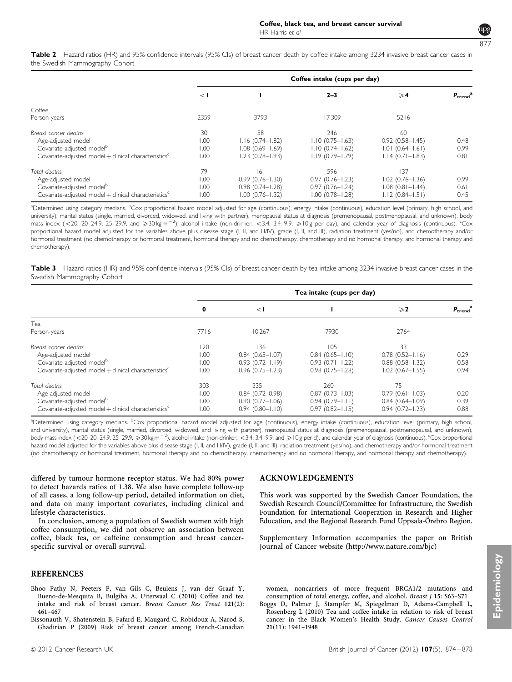

<span id="page-4-0"></span>Table 2 Hazard ratios (HR) and 95% confidence intervals (95% CIs) of breast cancer death by coffee intake among 3234 invasive breast cancer cases in the Swedish Mammography Cohort

|                                                                    | Coffee intake (cups per day) |                     |                     |                        |                               |  |  |
|--------------------------------------------------------------------|------------------------------|---------------------|---------------------|------------------------|-------------------------------|--|--|
|                                                                    | $\leq$ 1                     |                     | $2 - 3$             | $\geqslant$ 4          | $P_{\text{trend}}^{\text{a}}$ |  |  |
| Coffee                                                             |                              |                     |                     |                        |                               |  |  |
| Person-years                                                       | 2359                         | 3793                | 17309               | 5216                   |                               |  |  |
| Breast cancer deaths                                               | 30                           | 58                  | 246                 | 60                     |                               |  |  |
| Age-adjusted model                                                 | 00.1                         | $1.16(0.74 - 1.82)$ | $1.10(0.75 - 1.63)$ | $0.92(0.58 - 1.45)$    | 0.48                          |  |  |
| Covariate-adjusted model <sup>b</sup>                              | 00.1                         | $1.08(0.69 - 1.69)$ | $1.10(0.74 - 1.62)$ | $1.01(0.64 - 1.61)$    | 0.99                          |  |  |
| Covariate-adjusted model + clinical characteristics <sup>c</sup>   | 00.1                         | $1.23$ (0.78-1.93)  | $1.19(0.79 - 1.79)$ | $1.14(0.71 - 1.83)$    | 0.81                          |  |  |
| Total deaths                                                       | 79                           | 161                 | 596                 | 137                    |                               |  |  |
| Age-adjusted model                                                 | 1.00                         | $0.99(0.76 - 1.30)$ | $0.97(0.76 - 1.23)$ | $1.02$ $(0.76 - 1.36)$ | 0.99                          |  |  |
| Covariate-adjusted model <sup>b</sup>                              | 00.1                         | $0.98(0.74 - 1.28)$ | $0.97(0.76 - 1.24)$ | $1.08$ $(0.81 - 1.44)$ | 0.61                          |  |  |
| Covariate-adjusted model $+$ clinical characteristics <sup>c</sup> | 00.1                         | $1.00$ (0.76-1.32)  | $1.00(0.78 - 1.28)$ | $1.12(0.84 - 1.51)$    | 0.45                          |  |  |

<sup>a</sup>Determined using category medians. <sup>b</sup>Cox proportional hazard model adjusted for age (continuous), energy intake (continuous), education level (primary, high school, and university), marital status (single, married, divorced, widowed, and living with partner), menopausal status at diagnosis (premenopausal, postmenopausal, and unknown), body mass index (<20, 20–24.9, 25–29.9, and  $\geq 30$ kgm<sup>-2</sup>), alcohol intake (non-drinker, <3.4, 3.4–9.9,  $\geq 10$ g per day), and calendar year of diagnosis (continuous). <sup>c</sup>Cox proportional hazard model adjusted for the variables above plus disease stage (I, II, and III/IV), grade (I, II, and III), radiation treatment (yes/no), and chemotherapy and/or hormonal treatment (no chemotherapy or hormonal treatment, hormonal therapy and no chemotherapy, chemotherapy and no hormonal therapy, and hormonal therapy and chemotherapy).

Table 3 Hazard ratios (HR) and 95% confidence intervals (95% CIs) of breast cancer death by tea intake among 3234 invasive breast cancer cases in the Swedish Mammography Cohort

|                                                                  | Tea intake (cups per day) |                     |                     |                        |               |  |  |
|------------------------------------------------------------------|---------------------------|---------------------|---------------------|------------------------|---------------|--|--|
|                                                                  | 0                         | $\leq$ 1            |                     | $\geqslant$ 2          | $P_{trend}^a$ |  |  |
| Tea                                                              |                           |                     |                     |                        |               |  |  |
| Person-years                                                     | 7716                      | 10267               | 7930                | 2764                   |               |  |  |
| Breast cancer deaths                                             | 120                       | 136                 | 105                 | 33                     |               |  |  |
| Age-adjusted model                                               | .00                       | $0.84$ (0.65-1.07)  | $0.84(0.65 - 1.10)$ | $0.78(0.52 - 1.16)$    | 0.29          |  |  |
| Covariate-adjusted model <sup>b</sup>                            | .00                       | $0.93(0.72 - 1.19)$ | $0.93(0.71 - 1.22)$ | $0.88$ $(0.58 - 1.32)$ | 0.58          |  |  |
| Covariate-adjusted model + clinical characteristics <sup>c</sup> | .00.                      | $0.96(0.75 - 1.23)$ | $0.98(0.75 - 1.28)$ | $1.02$ (0.67-1.55)     | 0.94          |  |  |
| Total deaths                                                     | 303                       | 335                 | 260                 | 75                     |               |  |  |
| Age-adjusted model                                               | .00                       | $0.84(0.72 - 0.98)$ | $0.87(0.73 - 1.03)$ | $0.79(0.61 - 1.03)$    | 0.20          |  |  |
| Covariate-adjusted model <sup>b</sup>                            | .00                       | $0.90(0.77 - 1.06)$ | $0.94(0.79 - 1.11)$ | $0.84(0.64 - 1.09)$    | 0.39          |  |  |
| Covariate-adjusted model + clinical characteristics <sup>c</sup> | .00                       | $0.94(0.80 - 1.10)$ | $0.97(0.82 - 1.15)$ | $0.94(0.72 - 1.23)$    | 0.88          |  |  |

<sup>a</sup>Determined using category medians. <sup>b</sup>Cox proportional hazard model adjusted for age (continuous), energy intake (continuous), education level (primary, high school, and university), marital status (single, married, divorced, widowed, and living with partner), menopausal status at diagnosis (premenopausal, postmenopausal, and unknown), body mass index (<20, 20–24.9, 25–29.9,  $\geqslant 30$  kg m<sup>-2</sup>), alcohol intake (non-drinker, <3.4, 3.4–9.9, and  $\geqslant$  10g per d), and calendar year of diagnosis (continuous). <sup>c</sup>Cox proportional hazard model adjusted for the variables above plus disease stage (I, II, and III/IV), grade (I, II, and III), radiation treatment (yes/no), and chemotherapy and/or hormonal treatment (no chemotherapy or hormonal treatment, hormonal therapy and no chemotherapy, chemotherapy and no hormonal therapy, and hormonal therapy and chemotherapy).

differed by tumour hormone receptor status. We had 80% power to detect hazards ratios of 1.38. We also have complete follow-up of all cases, a long follow-up period, detailed information on diet, and data on many important covariates, including clinical and lifestyle characteristics.

In conclusion, among a population of Swedish women with high coffee consumption, we did not observe an association between coffee, black tea, or caffeine consumption and breast cancerspecific survival or overall survival.

#### **REFERENCES**

- Bhoo Pathy N, Peeters P, van Gils C, Beulens J, van der Graaf Y, Bueno-de-Mesquita B, Bulgiba A, Uiterwaal C (2010) Coffee and tea intake and risk of breast cancer. Breast Cancer Res Treat 121(2): 461–467
- Bissonauth V, Shatenstein B, Fafard E, Maugard C, Robidoux A, Narod S, Ghadirian P (2009) Risk of breast cancer among French-Canadian

#### ACKNOWLEDGEMENTS

This work was supported by the Swedish Cancer Foundation, the Swedish Research Council/Committee for Infrastructure, the Swedish Foundation for International Cooperation in Research and Higher Education, and the Regional Research Fund Uppsala-Örebro Region.

Supplementary Information accompanies the paper on British Journal of Cancer website [\(http://www.nature.com/bjc](http://www.nature.com/bjc))

women, noncarriers of more frequent BRCA1/2 mutations and consumption of total energy, coffee, and alcohol. Breast J 15: S63–S71 Boggs D, Palmer J, Stampfer M, Spiegelman D, Adams-Campbell L, Rosenberg L (2010) Tea and coffee intake in relation to risk of breast cancer in the Black Women's Health Study. Cancer Causes Control 21(11): 1941–1948